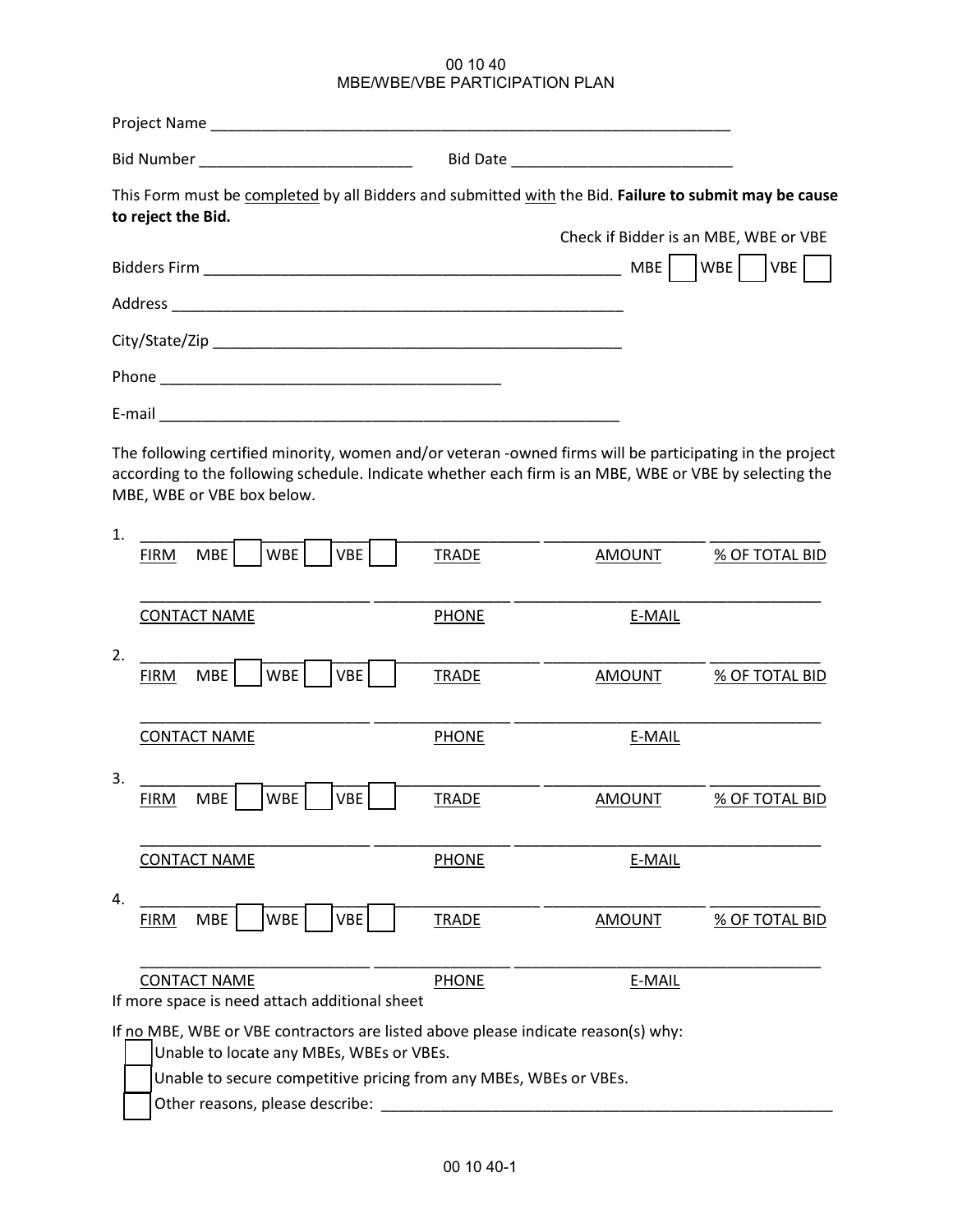## 00 10 40 MBE/WBE/VBE PARTICIPATION PLAN

| Bid Number ________________________________                                                                                                                                                                                                            |              |                                       |                       |
|--------------------------------------------------------------------------------------------------------------------------------------------------------------------------------------------------------------------------------------------------------|--------------|---------------------------------------|-----------------------|
| This Form must be completed by all Bidders and submitted with the Bid. Failure to submit may be cause<br>to reject the Bid.                                                                                                                            |              | Check if Bidder is an MBE, WBE or VBE |                       |
|                                                                                                                                                                                                                                                        |              | MBE                                   | WBE<br>VBE            |
|                                                                                                                                                                                                                                                        |              |                                       |                       |
|                                                                                                                                                                                                                                                        |              |                                       |                       |
|                                                                                                                                                                                                                                                        |              |                                       |                       |
|                                                                                                                                                                                                                                                        |              |                                       |                       |
| The following certified minority, women and/or veteran -owned firms will be participating in the project<br>according to the following schedule. Indicate whether each firm is an MBE, WBE or VBE by selecting the<br>MBE, WBE or VBE box below.<br>1. |              |                                       |                       |
| WBE<br>VBE<br><b>MBE</b><br><b>FIRM</b>                                                                                                                                                                                                                | <b>TRADE</b> | <b>AMOUNT</b>                         | <b>% OF TOTAL BID</b> |
| <b>CONTACT NAME</b>                                                                                                                                                                                                                                    | <b>PHONE</b> | E-MAIL                                |                       |
| 2.<br><b>WBE</b><br>VBE<br><b>MBE</b><br><b>FIRM</b>                                                                                                                                                                                                   | <b>TRADE</b> | <b>AMOUNT</b>                         | % OF TOTAL BID        |
| <b>CONTACT NAME</b>                                                                                                                                                                                                                                    | <b>PHONE</b> | E-MAIL                                |                       |
| 3.                                                                                                                                                                                                                                                     |              |                                       |                       |
| <b>MBE</b><br>WBE<br><b>VBE</b><br><b>FIRM</b>                                                                                                                                                                                                         | <b>TRADE</b> | <b>AMOUNT</b>                         | <b>% OF TOTAL BID</b> |
| <b>CONTACT NAME</b>                                                                                                                                                                                                                                    | <b>PHONE</b> | E-MAIL                                |                       |
| 4.                                                                                                                                                                                                                                                     |              |                                       |                       |
| <b>MBE</b><br><b>WBE</b><br><b>VBE</b><br><b>FIRM</b>                                                                                                                                                                                                  | <b>TRADE</b> | <b>AMOUNT</b>                         | <b>% OF TOTAL BID</b> |
| <b>CONTACT NAME</b><br>If more space is need attach additional sheet                                                                                                                                                                                   | <b>PHONE</b> | E-MAIL                                |                       |
| If no MBE, WBE or VBE contractors are listed above please indicate reason(s) why:<br>Unable to locate any MBEs, WBEs or VBEs.                                                                                                                          |              |                                       |                       |
| Unable to secure competitive pricing from any MBEs, WBEs or VBEs.<br>Other reasons, please describe:                                                                                                                                                   |              |                                       |                       |